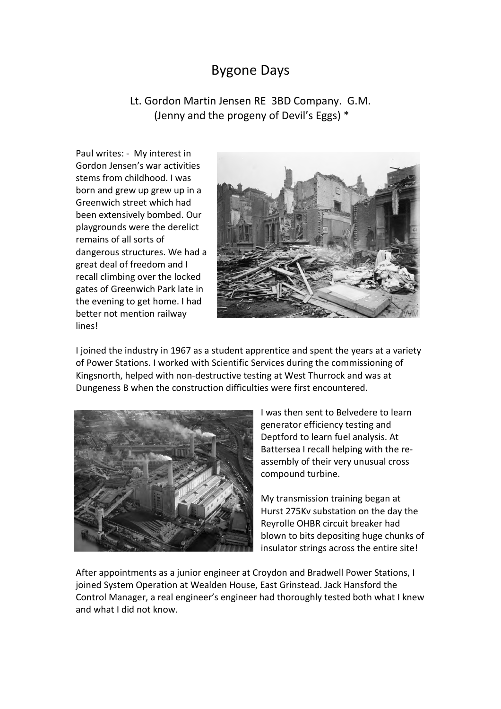## Bygone Days

Lt. Gordon Martin Jensen RE 3BD Company. G.M. (Jenny and the progeny of Devil's Eggs) \*

Paul writes: - My interest in Gordon Jensen's war activities stems from childhood. I was born and grew up grew up in a Greenwich street which had been extensively bombed. Our playgrounds were the derelict remains of all sorts of dangerous structures. We had a great deal of freedom and I recall climbing over the locked gates of Greenwich Park late in the evening to get home. I had better not mention railway lines!



I joined the industry in 1967 as a student apprentice and spent the years at a variety of Power Stations. I worked with Scientific Services during the commissioning of Kingsnorth, helped with non-destructive testing at West Thurrock and was at Dungeness B when the construction difficulties were first encountered.



I was then sent to Belvedere to learn generator efficiency testing and Deptford to learn fuel analysis. At Battersea I recall helping with the reassembly of their very unusual cross compound turbine.

My transmission training began at Hurst 275Kv substation on the day the Reyrolle OHBR circuit breaker had blown to bits depositing huge chunks of insulator strings across the entire site!

After appointments as a junior engineer at Croydon and Bradwell Power Stations, I joined System Operation at Wealden House, East Grinstead. Jack Hansford the Control Manager, a real engineer's engineer had thoroughly tested both what I knew and what I did not know.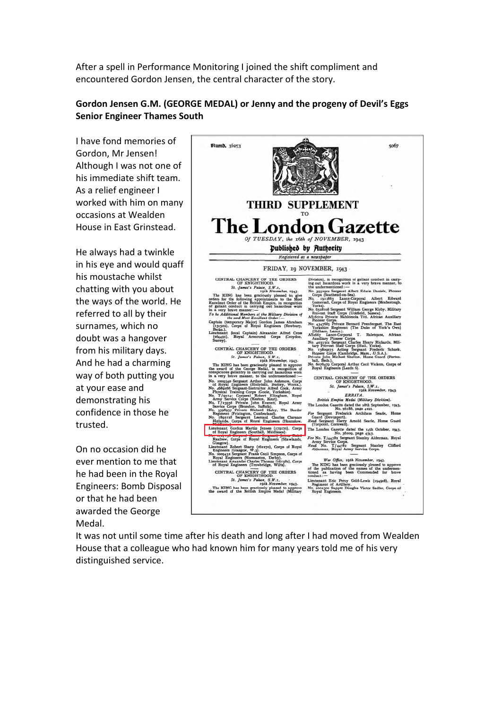After a spell in Performance Monitoring I joined the shift compliment and encountered Gordon Jensen, the central character of the story.

## **Gordon Jensen G.M. (GEORGE MEDAL) or Jenny and the progeny of Devil's Eggs Senior Engineer Thames South**

I have fond memories of Gordon, Mr Jensen! Although I was not one of his immediate shift team. As a relief engineer I worked with him on many occasions at Wealden House in East Grinstead.

He always had a twinkle in his eye and would quaff his moustache whilst chatting with you about the ways of the world. He referred to all by their surnames, which no doubt was a hangover from his military days. And he had a charming way of both putting you at your ease and demonstrating his confidence in those he trusted.

On no occasion did he ever mention to me that he had been in the Royal Engineers: Bomb Disposal or that he had been awarded the George Medal.



It was not until some time after his death and long after I had moved from Wealden House that a colleague who had known him for many years told me of his very distinguished service.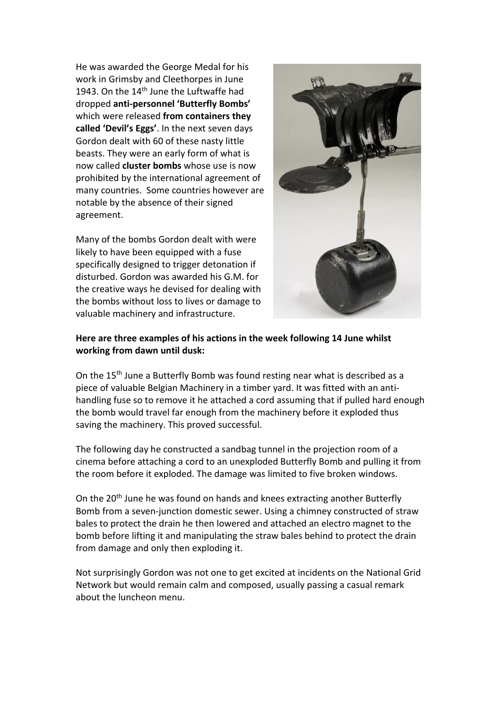He was awarded the George Medal for his work in Grimsby and Cleethorpes in June 1943. On the  $14<sup>th</sup>$  June the Luftwaffe had dropped **anti-personnel 'Butterfly Bombs'** which were released **from containers they called 'Devil's Eggs'**. In the next seven days Gordon dealt with 60 of these nasty little beasts. They were an early form of what is now called **cluster bombs** whose use is now prohibited by the international agreement of many countries. Some countries however are notable by the absence of their signed agreement.

Many of the bombs Gordon dealt with were likely to have been equipped with a fuse specifically designed to trigger detonation if disturbed. Gordon was awarded his G.M. for the creative ways he devised for dealing with the bombs without loss to lives or damage to valuable machinery and infrastructure.



## **Here are three examples of his actions in the week following 14 June whilst working from dawn until dusk:**

On the 15<sup>th</sup> June a Butterfly Bomb was found resting near what is described as a piece of valuable Belgian Machinery in a timber yard. It was fitted with an antihandling fuse so to remove it he attached a cord assuming that if pulled hard enough the bomb would travel far enough from the machinery before it exploded thus saving the machinery. This proved successful.

The following day he constructed a sandbag tunnel in the projection room of a cinema before attaching a cord to an unexploded Butterfly Bomb and pulling it from the room before it exploded. The damage was limited to five broken windows.

On the 20<sup>th</sup> June he was found on hands and knees extracting another Butterfly Bomb from a seven-junction domestic sewer. Using a chimney constructed of straw bales to protect the drain he then lowered and attached an electro magnet to the bomb before lifting it and manipulating the straw bales behind to protect the drain from damage and only then exploding it.

Not surprisingly Gordon was not one to get excited at incidents on the National Grid Network but would remain calm and composed, usually passing a casual remark about the luncheon menu.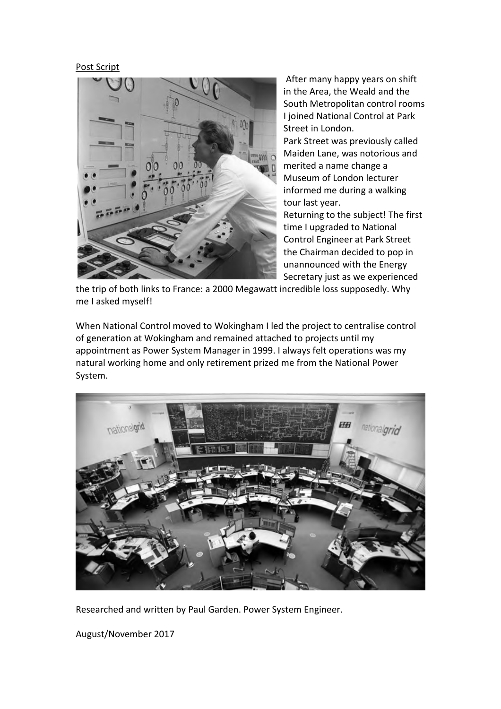## Post Script



After many happy years on shift in the Area, the Weald and the South Metropolitan control rooms I joined National Control at Park Street in London. Park Street was previously called Maiden Lane, was notorious and merited a name change a Museum of London lecturer informed me during a walking tour last year. Returning to the subject! The first time I upgraded to National Control Engineer at Park Street the Chairman decided to pop in unannounced with the Energy Secretary just as we experienced

the trip of both links to France: a 2000 Megawatt incredible loss supposedly. Why me I asked myself!

When National Control moved to Wokingham I led the project to centralise control of generation at Wokingham and remained attached to projects until my appointment as Power System Manager in 1999. I always felt operations was my natural working home and only retirement prized me from the National Power System.



Researched and written by Paul Garden. Power System Engineer.

August/November 2017